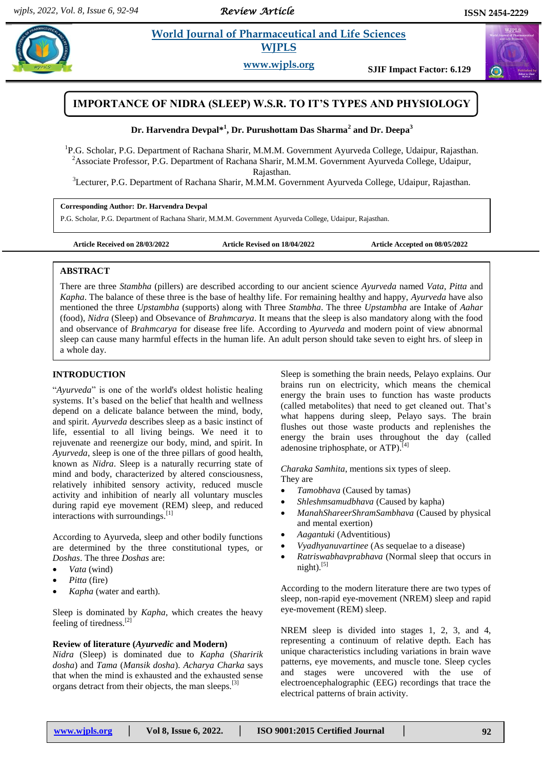*Review Article* 

# **Example 3** *E* **World Journal of Pharmaceutical and Life Sciences <b>A** *Reserve to a life Science* **WJPLS**

**www.wjpls.org SJIF Impact Factor: 6.129**



# **Dr. Harvendra Devpal\* 1 , Dr. Purushottam Das Sharma<sup>2</sup> and Dr. Deepa<sup>3</sup>**

<sup>1</sup>P.G. Scholar, P.G. Department of Rachana Sharir, M.M.M. Government Ayurveda College, Udaipur, Rajasthan. <sup>2</sup>Associate Professor, P.G. Department of Rachana Sharir, M.M.M. Government Ayurveda College, Udaipur, Rajasthan.

<sup>3</sup>Lecturer, P.G. Department of Rachana Sharir, M.M.M. Government Ayurveda College, Udaipur, Rajasthan.

**Corresponding Author: Dr. Harvendra Devpal**

P.G. Scholar, P.G. Department of Rachana Sharir, M.M.M. Government Ayurveda College, Udaipur, Rajasthan.

**Article Received on 28/03/2022 Article Revised on 18/04/2022 Article Accepted on 08/05/2022**

## **ABSTRACT**

There are three *Stambha* (pillers) are described according to our ancient science *Ayurveda* named *Vata*, *Pitta* and *Kapha*. The balance of these three is the base of healthy life. For remaining healthy and happy, *Ayurveda* have also mentioned the three *Upstambha* (supports) along with Three *Stambha*. The three *Upstambha* are Intake of *Aahar* (food), *Nidra* (Sleep) and Obsevance of *Brahmcarya*. It means that the sleep is also mandatory along with the food and observance of *Brahmcarya* for disease free life. According to *Ayurveda* and modern point of view abnormal sleep can cause many harmful effects in the human life. An adult person should take seven to eight hrs. of sleep in a whole day.

# **INTRODUCTION**

"*Ayurveda*" is one of the world's oldest holistic healing systems. It's based on the belief that health and wellness depend on a delicate balance between the mind, body, and spirit. *Ayurveda* describes sleep as a basic instinct of life, essential to all living beings. We need it to rejuvenate and reenergize our body, mind, and spirit. In *Ayurveda*, sleep is one of the three pillars of good health, known as *Nidra*. Sleep is a naturally recurring state of mind and body, characterized by altered consciousness, relatively inhibited sensory activity, reduced muscle activity and inhibition of nearly all voluntary muscles during rapid eye movement (REM) sleep, and reduced interactions with surroundings.<sup>[1]</sup>

According to Ayurveda, sleep and other bodily functions are determined by the three constitutional types, or *Doshas*. The three *Doshas* are:

- *Vata* (wind)
- *Pitta* (fire)
- *Kapha* (water and earth).

Sleep is dominated by *Kapha*, which creates the heavy feeling of tiredness.<sup>[2]</sup>

### **Review of literature (***Ayurvedic* **and Modern)**

*Nidra* (Sleep) is dominated due to *Kapha* (*Sharirik dosha*) and *Tama* (*Mansik dosha*). *Acharya Charka* says that when the mind is exhausted and the exhausted sense organs detract from their objects, the man sleeps.<sup>[3]</sup>

Sleep is something the brain needs, Pelayo explains. Our brains run on electricity, which means the chemical energy the brain uses to function has waste products (called metabolites) that need to get cleaned out. That's what happens during sleep, Pelayo says. The brain flushes out those waste products and replenishes the energy the brain uses throughout the day (called adenosine triphosphate, or  $ATP$ ).<sup>[4]</sup>

*Charaka Samhita*, mentions six types of sleep. They are

- *Tamobhava* (Caused by tamas)
- *Shleshmsamudbhava* (Caused by kapha)
- *ManahShareerShramSambhava* (Caused by physical and mental exertion)
- *Aagantuki* (Adventitious)
- *Vyadhyanuvartinee* (As sequelae to a disease)
- *Ratriswabhavprabhava* (Normal sleep that occurs in  $night).$ <sup>[5]</sup>

According to the modern literature there are two types of sleep, non-rapid eye-movement (NREM) sleep and rapid eye-movement (REM) sleep.

NREM sleep is divided into stages 1, 2, 3, and 4, representing a continuum of relative depth. Each has unique characteristics including variations in brain wave patterns, eye movements, and muscle tone. Sleep cycles and stages were uncovered with the use of electroencephalographic (EEG) recordings that trace the electrical patterns of brain activity.

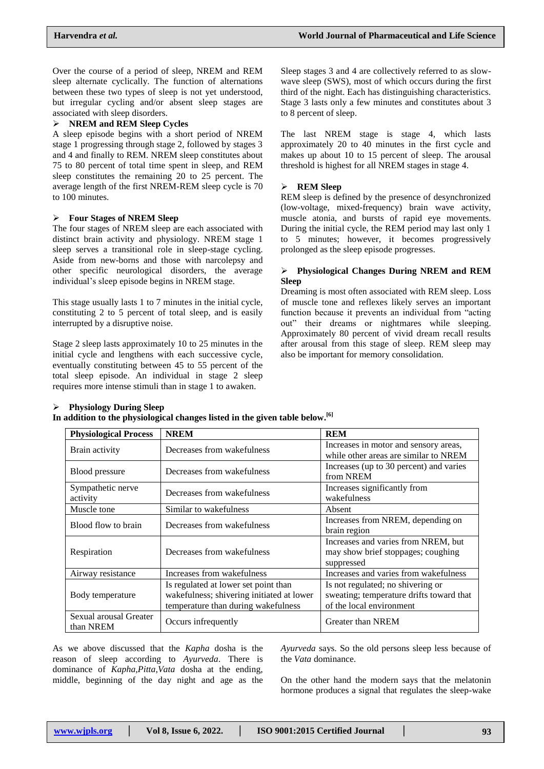Over the course of a period of sleep, NREM and REM sleep alternate cyclically. The function of alternations between these two types of sleep is not yet understood, but irregular cycling and/or absent sleep stages are associated with sleep disorders.

#### **NREM and REM Sleep Cycles**

A sleep episode begins with a short period of NREM stage 1 progressing through stage 2, followed by stages 3 and 4 and finally to REM. NREM sleep constitutes about 75 to 80 percent of total time spent in sleep, and REM sleep constitutes the remaining 20 to 25 percent. The average length of the first NREM-REM sleep cycle is 70 to 100 minutes.

## **Four Stages of NREM Sleep**

The four stages of NREM sleep are each associated with distinct brain activity and physiology. NREM stage 1 sleep serves a transitional role in sleep-stage cycling. Aside from new-borns and those with narcolepsy and other specific neurological disorders, the average individual's sleep episode begins in NREM stage.

This stage usually lasts 1 to 7 minutes in the initial cycle, constituting 2 to 5 percent of total sleep, and is easily interrupted by a disruptive noise.

Stage 2 sleep lasts approximately 10 to 25 minutes in the initial cycle and lengthens with each successive cycle, eventually constituting between 45 to 55 percent of the total sleep episode. An individual in stage 2 sleep requires more intense stimuli than in stage 1 to awaken.

Sleep stages 3 and 4 are collectively referred to as slowwave sleep (SWS), most of which occurs during the first third of the night. Each has distinguishing characteristics. Stage 3 lasts only a few minutes and constitutes about 3 to 8 percent of sleep.

The last NREM stage is stage 4, which lasts approximately 20 to 40 minutes in the first cycle and makes up about 10 to 15 percent of sleep. The arousal threshold is highest for all NREM stages in stage 4.

### **REM Sleep**

REM sleep is defined by the presence of desynchronized (low-voltage, mixed-frequency) brain wave activity, muscle atonia, and bursts of rapid eye movements. During the initial cycle, the REM period may last only 1 to 5 minutes; however, it becomes progressively prolonged as the sleep episode progresses.

### **Physiological Changes During NREM and REM Sleep**

Dreaming is most often associated with REM sleep. Loss of muscle tone and reflexes likely serves an important function because it prevents an individual from "acting out" their dreams or nightmares while sleeping. Approximately 80 percent of vivid dream recall results after arousal from this stage of sleep. REM sleep may also be important for memory consolidation.

| <b>Physiology During Sleep</b>                                                           |
|------------------------------------------------------------------------------------------|
| In addition to the physiological changes listed in the given table below. <sup>[6]</sup> |

| <b>Physiological Process</b>        | <b>NREM</b>                                                                                                              | <b>REM</b>                                                                                                |
|-------------------------------------|--------------------------------------------------------------------------------------------------------------------------|-----------------------------------------------------------------------------------------------------------|
| Brain activity                      | Decreases from wakefulness                                                                                               | Increases in motor and sensory areas,<br>while other areas are similar to NREM                            |
| Blood pressure                      | Decreases from wakefulness                                                                                               | Increases (up to 30 percent) and varies<br>from NREM                                                      |
| Sympathetic nerve<br>activity       | Decreases from wakefulness                                                                                               | Increases significantly from<br>wakefulness                                                               |
| Muscle tone                         | Similar to wakefulness                                                                                                   | Absent                                                                                                    |
| Blood flow to brain                 | Decreases from wakefulness                                                                                               | Increases from NREM, depending on<br>brain region                                                         |
| Respiration                         | Decreases from wakefulness                                                                                               | Increases and varies from NREM, but<br>may show brief stoppages; coughing<br>suppressed                   |
| Airway resistance                   | Increases from wakefulness                                                                                               | Increases and varies from wakefulness                                                                     |
| Body temperature                    | Is regulated at lower set point than<br>wakefulness; shivering initiated at lower<br>temperature than during wakefulness | Is not regulated; no shivering or<br>sweating; temperature drifts toward that<br>of the local environment |
| Sexual arousal Greater<br>than NREM | Occurs infrequently                                                                                                      | <b>Greater than NREM</b>                                                                                  |

As we above discussed that the *Kapha* dosha is the reason of sleep according to *Ayurveda*. There is dominance of *Kapha,Pitta,Vata* dosha at the ending, middle, beginning of the day night and age as the *Ayurveda* says. So the old persons sleep less because of the *Vata* dominance.

On the other hand the modern says that the melatonin hormone produces a signal that regulates the sleep-wake